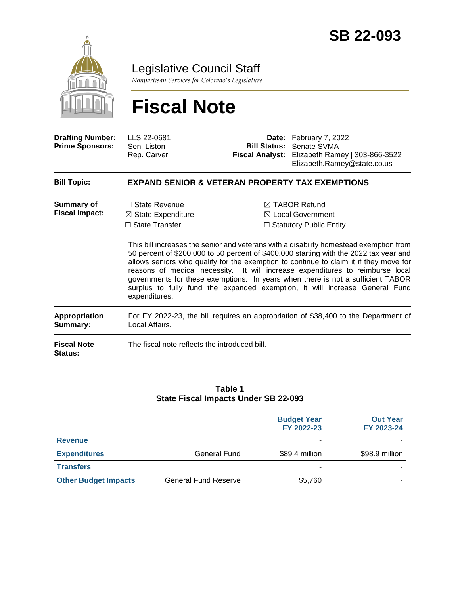

Legislative Council Staff

*Nonpartisan Services for Colorado's Legislature*

# **Fiscal Note**

| <b>Drafting Number:</b><br><b>Prime Sponsors:</b> | LLS 22-0681<br>Sen. Liston<br>Rep. Carver                                                             |                                                                                                                                                                                                                                                                                                                                                                                                                                                                                                                                                                                                                             | Date: February 7, 2022<br><b>Bill Status: Senate SVMA</b><br>Fiscal Analyst: Elizabeth Ramey   303-866-3522<br>Elizabeth.Ramey@state.co.us |  |  |
|---------------------------------------------------|-------------------------------------------------------------------------------------------------------|-----------------------------------------------------------------------------------------------------------------------------------------------------------------------------------------------------------------------------------------------------------------------------------------------------------------------------------------------------------------------------------------------------------------------------------------------------------------------------------------------------------------------------------------------------------------------------------------------------------------------------|--------------------------------------------------------------------------------------------------------------------------------------------|--|--|
| <b>Bill Topic:</b>                                | <b>EXPAND SENIOR &amp; VETERAN PROPERTY TAX EXEMPTIONS</b>                                            |                                                                                                                                                                                                                                                                                                                                                                                                                                                                                                                                                                                                                             |                                                                                                                                            |  |  |
| <b>Summary of</b><br><b>Fiscal Impact:</b>        | $\Box$ State Revenue<br>$\boxtimes$ State Expenditure<br>$\Box$ State Transfer<br>expenditures.       | $\boxtimes$ TABOR Refund<br>$\boxtimes$ Local Government<br>$\Box$ Statutory Public Entity<br>This bill increases the senior and veterans with a disability homestead exemption from<br>50 percent of \$200,000 to 50 percent of \$400,000 starting with the 2022 tax year and<br>allows seniors who qualify for the exemption to continue to claim it if they move for<br>reasons of medical necessity. It will increase expenditures to reimburse local<br>governments for these exemptions. In years when there is not a sufficient TABOR<br>surplus to fully fund the expanded exemption, it will increase General Fund |                                                                                                                                            |  |  |
| <b>Appropriation</b><br>Summary:                  | For FY 2022-23, the bill requires an appropriation of \$38,400 to the Department of<br>Local Affairs. |                                                                                                                                                                                                                                                                                                                                                                                                                                                                                                                                                                                                                             |                                                                                                                                            |  |  |
| <b>Fiscal Note</b><br>Status:                     | The fiscal note reflects the introduced bill.                                                         |                                                                                                                                                                                                                                                                                                                                                                                                                                                                                                                                                                                                                             |                                                                                                                                            |  |  |

#### **Table 1 State Fiscal Impacts Under SB 22-093**

|                             |                             | <b>Budget Year</b><br>FY 2022-23 | <b>Out Year</b><br>FY 2023-24 |
|-----------------------------|-----------------------------|----------------------------------|-------------------------------|
| <b>Revenue</b>              |                             | -                                |                               |
| <b>Expenditures</b>         | <b>General Fund</b>         | \$89.4 million                   | \$98.9 million                |
| <b>Transfers</b>            |                             | ۰                                |                               |
| <b>Other Budget Impacts</b> | <b>General Fund Reserve</b> | \$5,760                          |                               |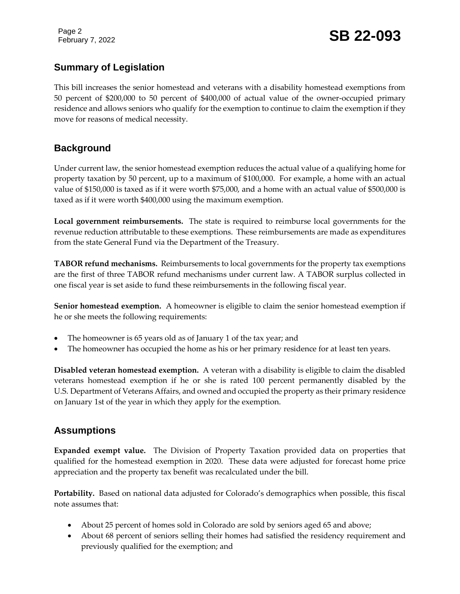Page 2

## **Summary of Legislation**

This bill increases the senior homestead and veterans with a disability homestead exemptions from 50 percent of \$200,000 to 50 percent of \$400,000 of actual value of the owner-occupied primary residence and allows seniors who qualify for the exemption to continue to claim the exemption if they move for reasons of medical necessity.

## **Background**

Under current law, the senior homestead exemption reduces the actual value of a qualifying home for property taxation by 50 percent, up to a maximum of \$100,000. For example, a home with an actual value of \$150,000 is taxed as if it were worth \$75,000, and a home with an actual value of \$500,000 is taxed as if it were worth \$400,000 using the maximum exemption.

**Local government reimbursements.** The state is required to reimburse local governments for the revenue reduction attributable to these exemptions. These reimbursements are made as expenditures from the state General Fund via the Department of the Treasury.

**TABOR refund mechanisms.** Reimbursements to local governments for the property tax exemptions are the first of three TABOR refund mechanisms under current law. A TABOR surplus collected in one fiscal year is set aside to fund these reimbursements in the following fiscal year.

**Senior homestead exemption.** A homeowner is eligible to claim the senior homestead exemption if he or she meets the following requirements:

- The homeowner is 65 years old as of January 1 of the tax year; and
- The homeowner has occupied the home as his or her primary residence for at least ten years.

**Disabled veteran homestead exemption.** A veteran with a disability is eligible to claim the disabled veterans homestead exemption if he or she is rated 100 percent permanently disabled by the U.S. Department of Veterans Affairs, and owned and occupied the property as their primary residence on January 1st of the year in which they apply for the exemption.

## **Assumptions**

**Expanded exempt value.** The Division of Property Taxation provided data on properties that qualified for the homestead exemption in 2020. These data were adjusted for forecast home price appreciation and the property tax benefit was recalculated under the bill.

**Portability.** Based on national data adjusted for Colorado's demographics when possible, this fiscal note assumes that:

- About 25 percent of homes sold in Colorado are sold by seniors aged 65 and above;
- About 68 percent of seniors selling their homes had satisfied the residency requirement and previously qualified for the exemption; and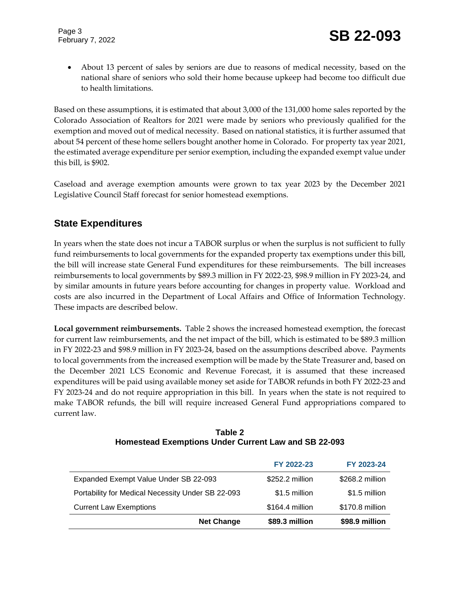About 13 percent of sales by seniors are due to reasons of medical necessity, based on the national share of seniors who sold their home because upkeep had become too difficult due to health limitations.

Based on these assumptions, it is estimated that about 3,000 of the 131,000 home sales reported by the Colorado Association of Realtors for 2021 were made by seniors who previously qualified for the exemption and moved out of medical necessity. Based on national statistics, it is further assumed that about 54 percent of these home sellers bought another home in Colorado. For property tax year 2021, the estimated average expenditure per senior exemption, including the expanded exempt value under this bill, is \$902.

Caseload and average exemption amounts were grown to tax year 2023 by the December 2021 Legislative Council Staff forecast for senior homestead exemptions.

## **State Expenditures**

In years when the state does not incur a TABOR surplus or when the surplus is not sufficient to fully fund reimbursements to local governments for the expanded property tax exemptions under this bill, the bill will increase state General Fund expenditures for these reimbursements. The bill increases reimbursements to local governments by \$89.3 million in FY 2022-23, \$98.9 million in FY 2023-24, and by similar amounts in future years before accounting for changes in property value. Workload and costs are also incurred in the Department of Local Affairs and Office of Information Technology. These impacts are described below.

**Local government reimbursements.** Table 2 shows the increased homestead exemption, the forecast for current law reimbursements, and the net impact of the bill, which is estimated to be \$89.3 million in FY 2022-23 and \$98.9 million in FY 2023-24, based on the assumptions described above. Payments to local governments from the increased exemption will be made by the State Treasurer and, based on the December 2021 LCS Economic and Revenue Forecast, it is assumed that these increased expenditures will be paid using available money set aside for TABOR refunds in both FY 2022-23 and FY 2023-24 and do not require appropriation in this bill. In years when the state is not required to make TABOR refunds, the bill will require increased General Fund appropriations compared to current law.

| Table 2                                                     |
|-------------------------------------------------------------|
| <b>Homestead Exemptions Under Current Law and SB 22-093</b> |

|                                                   | FY 2022-23      | FY 2023-24      |
|---------------------------------------------------|-----------------|-----------------|
| Expanded Exempt Value Under SB 22-093             | \$252.2 million | \$268.2 million |
| Portability for Medical Necessity Under SB 22-093 | \$1.5 million   | \$1.5 million   |
| <b>Current Law Exemptions</b>                     | \$164.4 million | \$170.8 million |
| <b>Net Change</b>                                 | \$89.3 million  | \$98.9 million  |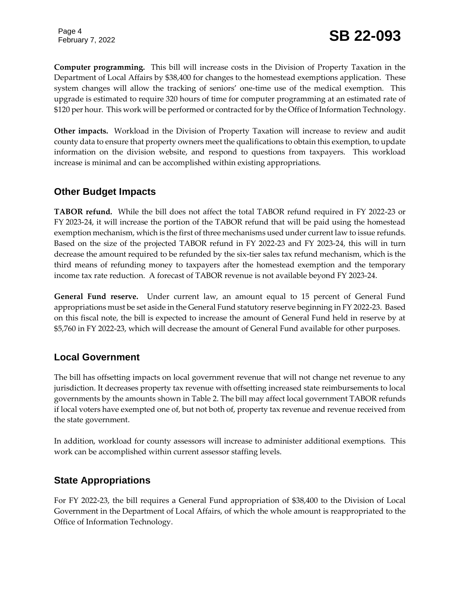Page 4

**Computer programming.** This bill will increase costs in the Division of Property Taxation in the Department of Local Affairs by \$38,400 for changes to the homestead exemptions application. These system changes will allow the tracking of seniors' one-time use of the medical exemption. This upgrade is estimated to require 320 hours of time for computer programming at an estimated rate of \$120 per hour. This work will be performed or contracted for by the Office of Information Technology.

**Other impacts.** Workload in the Division of Property Taxation will increase to review and audit county data to ensure that property owners meet the qualifications to obtain this exemption, to update information on the division website, and respond to questions from taxpayers. This workload increase is minimal and can be accomplished within existing appropriations.

### **Other Budget Impacts**

**TABOR refund.** While the bill does not affect the total TABOR refund required in FY 2022-23 or FY 2023-24, it will increase the portion of the TABOR refund that will be paid using the homestead exemption mechanism, which is the first of three mechanisms used under current law to issue refunds. Based on the size of the projected TABOR refund in FY 2022-23 and FY 2023-24, this will in turn decrease the amount required to be refunded by the six-tier sales tax refund mechanism, which is the third means of refunding money to taxpayers after the homestead exemption and the temporary income tax rate reduction. A forecast of TABOR revenue is not available beyond FY 2023-24.

**General Fund reserve.** Under current law, an amount equal to 15 percent of General Fund appropriations must be set aside in the General Fund statutory reserve beginning in FY 2022-23. Based on this fiscal note, the bill is expected to increase the amount of General Fund held in reserve by at \$5,760 in FY 2022-23, which will decrease the amount of General Fund available for other purposes.

### **Local Government**

The bill has offsetting impacts on local government revenue that will not change net revenue to any jurisdiction. It decreases property tax revenue with offsetting increased state reimbursements to local governments by the amounts shown in Table 2. The bill may affect local government TABOR refunds if local voters have exempted one of, but not both of, property tax revenue and revenue received from the state government.

In addition, workload for county assessors will increase to administer additional exemptions. This work can be accomplished within current assessor staffing levels.

### **State Appropriations**

For FY 2022-23, the bill requires a General Fund appropriation of \$38,400 to the Division of Local Government in the Department of Local Affairs, of which the whole amount is reappropriated to the Office of Information Technology.